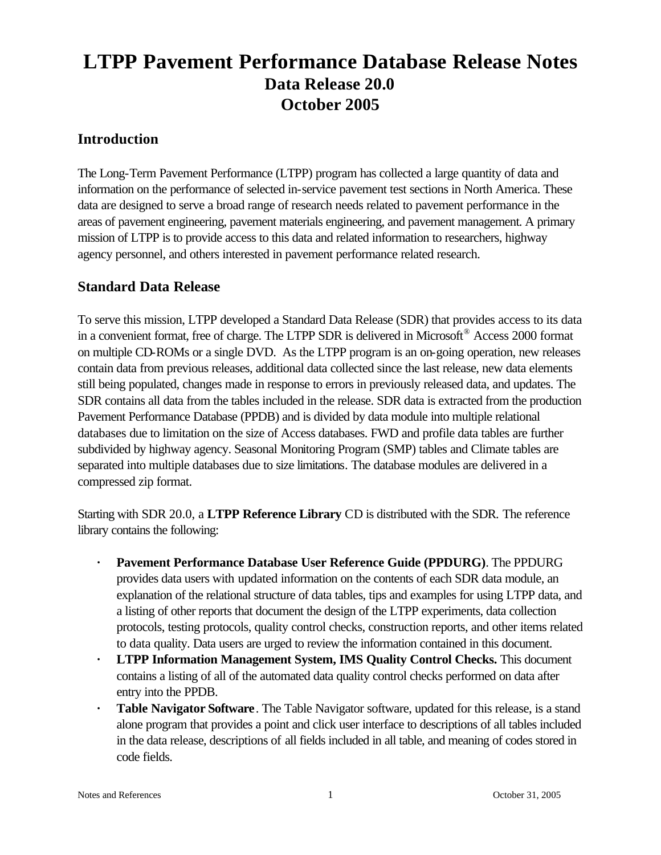# **LTPP Pavement Performance Database Release Notes Data Release 20.0 October 2005**

# **Introduction**

The Long-Term Pavement Performance (LTPP) program has collected a large quantity of data and information on the performance of selected in-service pavement test sections in North America. These data are designed to serve a broad range of research needs related to pavement performance in the areas of pavement engineering, pavement materials engineering, and pavement management. A primary mission of LTPP is to provide access to this data and related information to researchers, highway agency personnel, and others interested in pavement performance related research.

# **Standard Data Release**

To serve this mission, LTPP developed a Standard Data Release (SDR) that provides access to its data in a convenient format, free of charge. The LTPP SDR is delivered in Microsoft<sup>®</sup> Access 2000 format on multiple CD-ROMs or a single DVD. As the LTPP program is an on-going operation, new releases contain data from previous releases, additional data collected since the last release, new data elements still being populated, changes made in response to errors in previously released data, and updates. The SDR contains all data from the tables included in the release. SDR data is extracted from the production Pavement Performance Database (PPDB) and is divided by data module into multiple relational databases due to limitation on the size of Access databases. FWD and profile data tables are further subdivided by highway agency. Seasonal Monitoring Program (SMP) tables and Climate tables are separated into multiple databases due to size limitations. The database modules are delivered in a compressed zip format.

Starting with SDR 20.0, a **LTPP Reference Library** CD is distributed with the SDR. The reference library contains the following:

- **· Pavement Performance Database User Reference Guide (PPDURG)**. The PPDURG provides data users with updated information on the contents of each SDR data module, an explanation of the relational structure of data tables, tips and examples for using LTPP data, and a listing of other reports that document the design of the LTPP experiments, data collection protocols, testing protocols, quality control checks, construction reports, and other items related to data quality. Data users are urged to review the information contained in this document.
- **· LTPP Information Management System, IMS Quality Control Checks.** This document contains a listing of all of the automated data quality control checks performed on data after entry into the PPDB.
- **· Table Navigator Software**. The Table Navigator software, updated for this release, is a stand alone program that provides a point and click user interface to descriptions of all tables included in the data release, descriptions of all fields included in all table, and meaning of codes stored in code fields.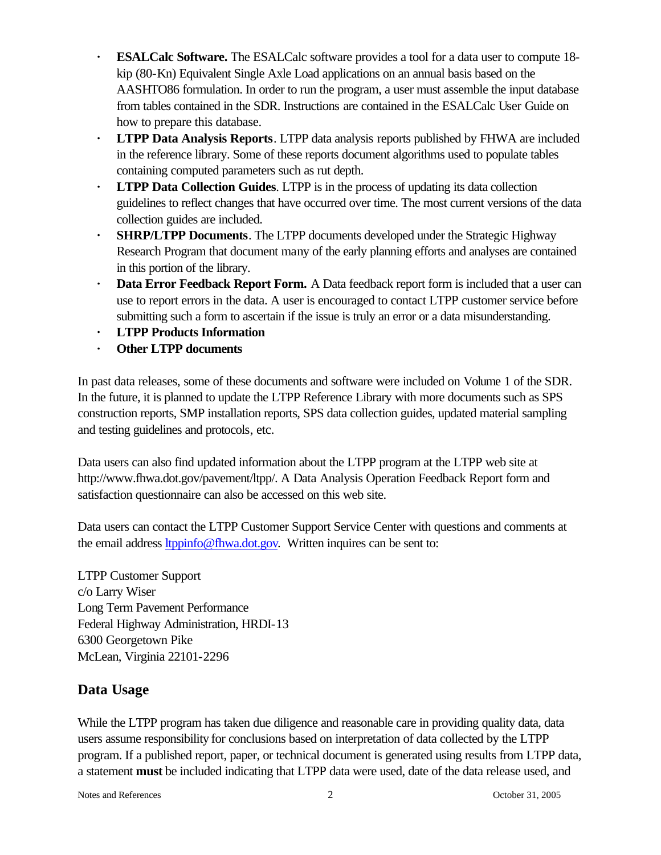- **· ESALCalc Software.** The ESALCalc software provides a tool for a data user to compute 18 kip (80-Kn) Equivalent Single Axle Load applications on an annual basis based on the AASHTO86 formulation. In order to run the program, a user must assemble the input database from tables contained in the SDR. Instructions are contained in the ESALCalc User Guide on how to prepare this database.
- **· LTPP Data Analysis Reports**. LTPP data analysis reports published by FHWA are included in the reference library. Some of these reports document algorithms used to populate tables containing computed parameters such as rut depth.
- **· LTPP Data Collection Guides**. LTPP is in the process of updating its data collection guidelines to reflect changes that have occurred over time. The most current versions of the data collection guides are included.
- **· SHRP/LTPP Documents**. The LTPP documents developed under the Strategic Highway Research Program that document many of the early planning efforts and analyses are contained in this portion of the library.
- **· Data Error Feedback Report Form.** A Data feedback report form is included that a user can use to report errors in the data. A user is encouraged to contact LTPP customer service before submitting such a form to ascertain if the issue is truly an error or a data misunderstanding.
- **· LTPP Products Information**
- **· Other LTPP documents**

In past data releases, some of these documents and software were included on Volume 1 of the SDR. In the future, it is planned to update the LTPP Reference Library with more documents such as SPS construction reports, SMP installation reports, SPS data collection guides, updated material sampling and testing guidelines and protocols, etc.

Data users can also find updated information about the LTPP program at the LTPP web site at http://www.fhwa.dot.gov/pavement/ltpp/. A Data Analysis Operation Feedback Report form and satisfaction questionnaire can also be accessed on this web site.

Data users can contact the LTPP Customer Support Service Center with questions and comments at the email address ltppinfo@fhwa.dot.gov. Written inquires can be sent to:

LTPP Customer Support c/o Larry Wiser Long Term Pavement Performance Federal Highway Administration, HRDI-13 6300 Georgetown Pike McLean, Virginia 22101-2296

# **Data Usage**

While the LTPP program has taken due diligence and reasonable care in providing quality data, data users assume responsibility for conclusions based on interpretation of data collected by the LTPP program. If a published report, paper, or technical document is generated using results from LTPP data, a statement **must** be included indicating that LTPP data were used, date of the data release used, and

Notes and References 2 October 31, 2005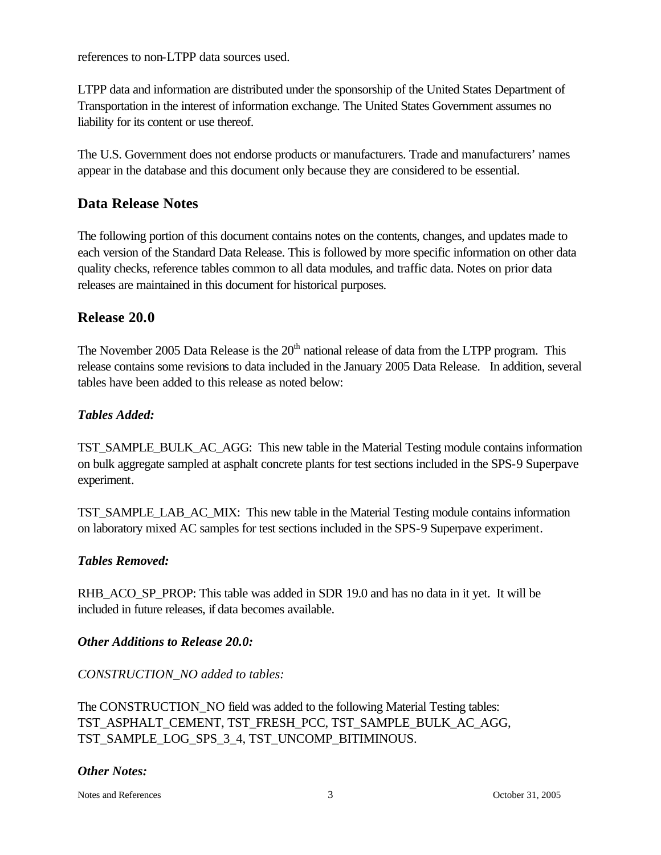references to non-LTPP data sources used.

LTPP data and information are distributed under the sponsorship of the United States Department of Transportation in the interest of information exchange. The United States Government assumes no liability for its content or use thereof.

The U.S. Government does not endorse products or manufacturers. Trade and manufacturers' names appear in the database and this document only because they are considered to be essential.

# **Data Release Notes**

The following portion of this document contains notes on the contents, changes, and updates made to each version of the Standard Data Release. This is followed by more specific information on other data quality checks, reference tables common to all data modules, and traffic data. Notes on prior data releases are maintained in this document for historical purposes.

# **Release 20.0**

The November 2005 Data Release is the 20<sup>th</sup> national release of data from the LTPP program. This release contains some revisions to data included in the January 2005 Data Release. In addition, several tables have been added to this release as noted below:

#### *Tables Added:*

TST\_SAMPLE\_BULK\_AC\_AGG: This new table in the Material Testing module contains information on bulk aggregate sampled at asphalt concrete plants for test sections included in the SPS-9 Superpave experiment.

TST\_SAMPLE\_LAB\_AC\_MIX: This new table in the Material Testing module contains information on laboratory mixed AC samples for test sections included in the SPS-9 Superpave experiment.

#### *Tables Removed:*

RHB\_ACO\_SP\_PROP: This table was added in SDR 19.0 and has no data in it yet. It will be included in future releases, if data becomes available.

#### *Other Additions to Release 20.0:*

#### *CONSTRUCTION\_NO added to tables:*

The CONSTRUCTION\_NO field was added to the following Material Testing tables: TST\_ASPHALT\_CEMENT, TST\_FRESH\_PCC, TST\_SAMPLE\_BULK\_AC\_AGG, TST\_SAMPLE\_LOG\_SPS\_3\_4, TST\_UNCOMP\_BITIMINOUS.

#### *Other Notes:*

Notes and References 3 October 31, 2005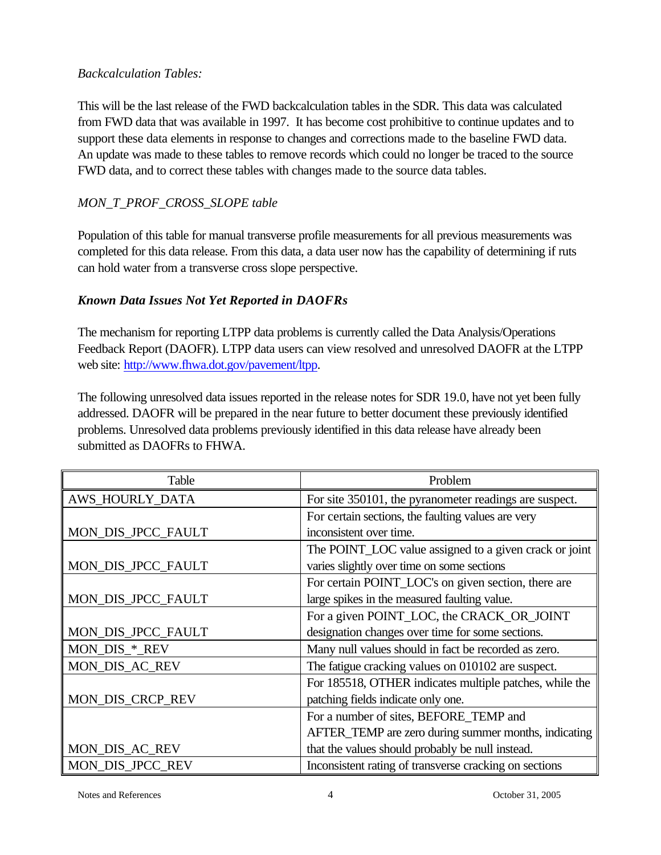#### *Backcalculation Tables:*

This will be the last release of the FWD backcalculation tables in the SDR. This data was calculated from FWD data that was available in 1997. It has become cost prohibitive to continue updates and to support these data elements in response to changes and corrections made to the baseline FWD data. An update was made to these tables to remove records which could no longer be traced to the source FWD data, and to correct these tables with changes made to the source data tables.

# *MON\_T\_PROF\_CROSS\_SLOPE table*

Population of this table for manual transverse profile measurements for all previous measurements was completed for this data release. From this data, a data user now has the capability of determining if ruts can hold water from a transverse cross slope perspective.

#### *Known Data Issues Not Yet Reported in DAOFRs*

The mechanism for reporting LTPP data problems is currently called the Data Analysis/Operations Feedback Report (DAOFR). LTPP data users can view resolved and unresolved DAOFR at the LTPP web site: http://www.fhwa.dot.gov/pavement/ltpp.

The following unresolved data issues reported in the release notes for SDR 19.0, have not yet been fully addressed. DAOFR will be prepared in the near future to better document these previously identified problems. Unresolved data problems previously identified in this data release have already been submitted as DAOFRs to FHWA.

| Table              | Problem                                                 |
|--------------------|---------------------------------------------------------|
| AWS_HOURLY_DATA    | For site 350101, the pyranometer readings are suspect.  |
|                    | For certain sections, the faulting values are very      |
| MON_DIS_JPCC_FAULT | inconsistent over time.                                 |
|                    | The POINT_LOC value assigned to a given crack or joint  |
| MON_DIS_JPCC_FAULT | varies slightly over time on some sections              |
|                    | For certain POINT_LOC's on given section, there are     |
| MON_DIS_JPCC_FAULT | large spikes in the measured faulting value.            |
|                    | For a given POINT_LOC, the CRACK_OR_JOINT               |
| MON_DIS_JPCC_FAULT | designation changes over time for some sections.        |
| MON_DIS_*_REV      | Many null values should in fact be recorded as zero.    |
| MON_DIS_AC_REV     | The fatigue cracking values on 010102 are suspect.      |
|                    | For 185518, OTHER indicates multiple patches, while the |
| MON_DIS_CRCP_REV   | patching fields indicate only one.                      |
|                    | For a number of sites, BEFORE_TEMP and                  |
|                    | AFTER_TEMP are zero during summer months, indicating    |
| MON_DIS_AC_REV     | that the values should probably be null instead.        |
| MON_DIS_JPCC_REV   | Inconsistent rating of transverse cracking on sections  |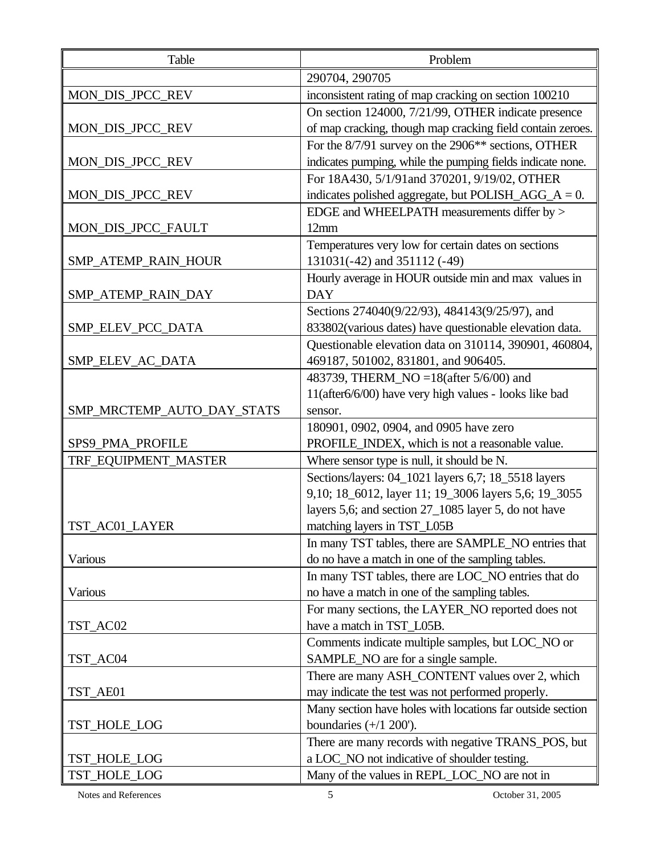| Table                      | Problem                                                         |
|----------------------------|-----------------------------------------------------------------|
|                            | 290704, 290705                                                  |
| MON_DIS_JPCC_REV           | inconsistent rating of map cracking on section 100210           |
|                            | On section 124000, 7/21/99, OTHER indicate presence             |
| MON_DIS_JPCC_REV           | of map cracking, though map cracking field contain zeroes.      |
|                            | For the 8/7/91 survey on the 2906 <sup>**</sup> sections, OTHER |
| MON_DIS_JPCC_REV           | indicates pumping, while the pumping fields indicate none.      |
|                            | For 18A430, 5/1/91and 370201, 9/19/02, OTHER                    |
| MON_DIS_JPCC_REV           | indicates polished aggregate, but POLISH_AGG_ $A = 0$ .         |
|                            | EDGE and WHEELPATH measurements differ by >                     |
| MON_DIS_JPCC_FAULT         | 12mm                                                            |
|                            | Temperatures very low for certain dates on sections             |
| SMP_ATEMP_RAIN_HOUR        | 131031(-42) and 351112 (-49)                                    |
|                            | Hourly average in HOUR outside min and max values in            |
| SMP_ATEMP_RAIN_DAY         | <b>DAY</b>                                                      |
|                            | Sections 274040(9/22/93), 484143(9/25/97), and                  |
| SMP_ELEV_PCC_DATA          | 833802(various dates) have questionable elevation data.         |
|                            | Questionable elevation data on 310114, 390901, 460804,          |
| SMP_ELEV_AC_DATA           | 469187, 501002, 831801, and 906405.                             |
|                            | 483739, THERM_NO =18(after 5/6/00) and                          |
|                            | 11(after6/6/00) have very high values - looks like bad          |
| SMP_MRCTEMP_AUTO_DAY_STATS | sensor.                                                         |
|                            | 180901, 0902, 0904, and 0905 have zero                          |
| SPS9_PMA_PROFILE           | PROFILE_INDEX, which is not a reasonable value.                 |
| TRF_EQUIPMENT_MASTER       | Where sensor type is null, it should be N.                      |
|                            | Sections/layers: 04_1021 layers 6,7; 18_5518 layers             |
|                            | 9,10; 18_6012, layer 11; 19_3006 layers 5,6; 19_3055            |
|                            | layers 5,6; and section 27_1085 layer 5, do not have            |
| TST AC01 LAYER             | matching layers in TST_L05B                                     |
|                            | In many TST tables, there are SAMPLE_NO entries that            |
| Various                    | do no have a match in one of the sampling tables.               |
|                            | In many TST tables, there are LOC_NO entries that do            |
| Various                    | no have a match in one of the sampling tables.                  |
|                            | For many sections, the LAYER_NO reported does not               |
| TST_AC02                   | have a match in TST_L05B.                                       |
|                            | Comments indicate multiple samples, but LOC_NO or               |
| TST_AC04                   | SAMPLE_NO are for a single sample.                              |
|                            | There are many ASH_CONTENT values over 2, which                 |
| TST_AE01                   | may indicate the test was not performed properly.               |
|                            | Many section have holes with locations far outside section      |
| TST_HOLE_LOG               | boundaries $(+/1 200')$ .                                       |
|                            | There are many records with negative TRANS_POS, but             |
| TST_HOLE_LOG               | a LOC_NO not indicative of shoulder testing.                    |
| TST_HOLE_LOG               | Many of the values in REPL_LOC_NO are not in                    |

Notes and References 5 October 31, 2005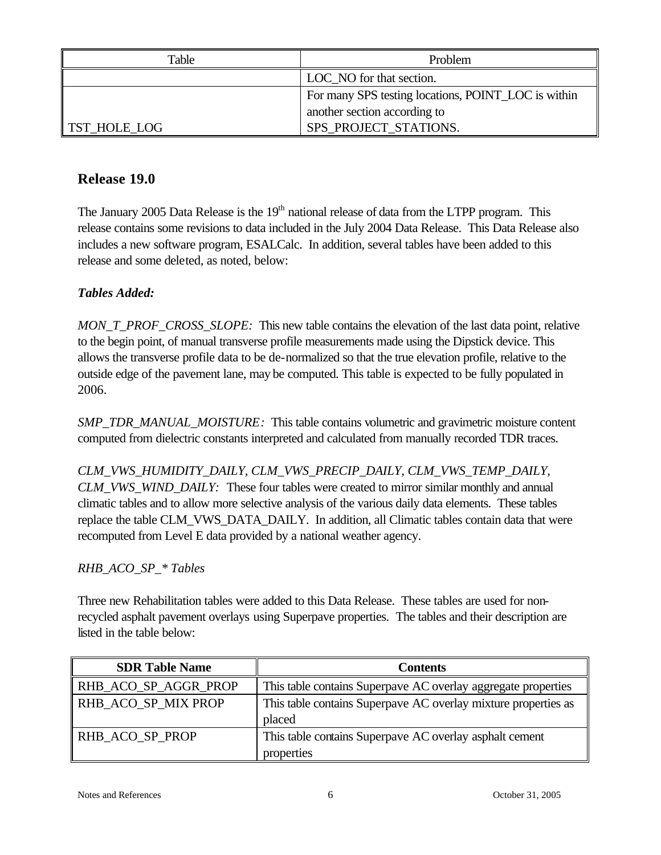| Table        | Problem                                             |
|--------------|-----------------------------------------------------|
|              | LOC_NO for that section.                            |
|              | For many SPS testing locations, POINT_LOC is within |
|              | another section according to                        |
| TST_HOLE_LOG | SPS_PROJECT_STATIONS.                               |

# **Release 19.0**

The January 2005 Data Release is the  $19<sup>th</sup>$  national release of data from the LTPP program. This release contains some revisions to data included in the July 2004 Data Release. This Data Release also includes a new software program, ESALCalc. In addition, several tables have been added to this release and some deleted, as noted, below:

# *Tables Added:*

*MON\_T\_PROF\_CROSS\_SLOPE:* This new table contains the elevation of the last data point, relative to the begin point, of manual transverse profile measurements made using the Dipstick device. This allows the transverse profile data to be de-normalized so that the true elevation profile, relative to the outside edge of the pavement lane, may be computed. This table is expected to be fully populated in 2006.

*SMP\_TDR\_MANUAL\_MOISTURE:* This table contains volumetric and gravimetric moisture content computed from dielectric constants interpreted and calculated from manually recorded TDR traces.

*CLM\_VWS\_HUMIDITY\_DAILY, CLM\_VWS\_PRECIP\_DAILY, CLM\_VWS\_TEMP\_DAILY, CLM\_VWS\_WIND\_DAILY:* These four tables were created to mirror similar monthly and annual climatic tables and to allow more selective analysis of the various daily data elements. These tables replace the table CLM\_VWS\_DATA\_DAILY. In addition, all Climatic tables contain data that were recomputed from Level E data provided by a national weather agency.

#### *RHB\_ACO\_SP\_\* Tables*

Three new Rehabilitation tables were added to this Data Release. These tables are used for nonrecycled asphalt pavement overlays using Superpave properties. The tables and their description are listed in the table below:

| <b>SDR Table Name</b> | Contents                                                       |
|-----------------------|----------------------------------------------------------------|
| RHB_ACO_SP_AGGR_PROP  | This table contains Superpave AC overlay aggregate properties  |
| RHB ACO SP MIX PROP   | This table contains Superpave AC overlay mixture properties as |
|                       | placed                                                         |
| RHB ACO SP PROP       | This table contains Superpave AC overlay asphalt cement        |
|                       | properties                                                     |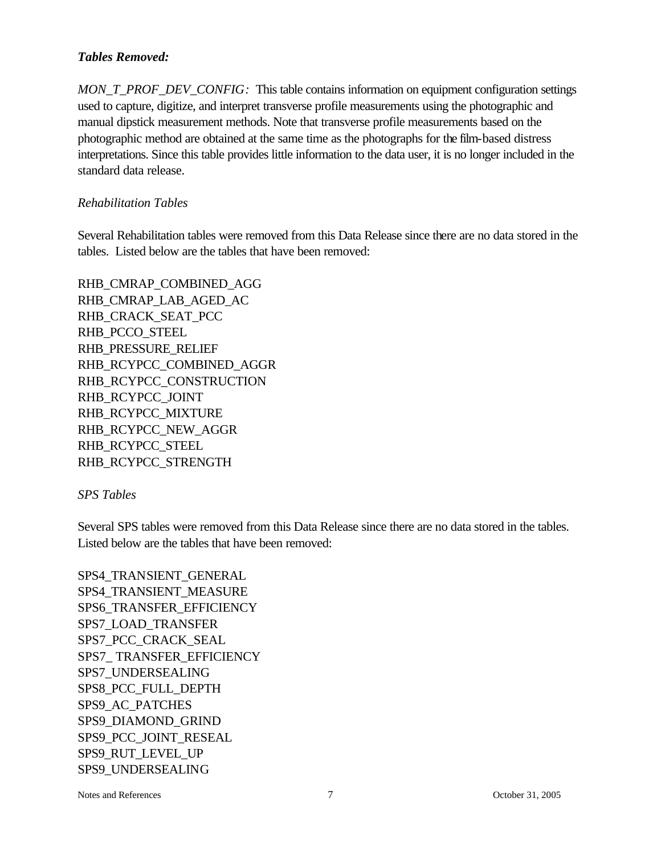#### *Tables Removed:*

*MON\_T\_PROF\_DEV\_CONFIG:* This table contains information on equipment configuration settings used to capture, digitize, and interpret transverse profile measurements using the photographic and manual dipstick measurement methods. Note that transverse profile measurements based on the photographic method are obtained at the same time as the photographs for the film-based distress interpretations. Since this table provides little information to the data user, it is no longer included in the standard data release.

#### *Rehabilitation Tables*

Several Rehabilitation tables were removed from this Data Release since there are no data stored in the tables. Listed below are the tables that have been removed:

RHB\_CMRAP\_COMBINED\_AGG RHB\_CMRAP\_LAB\_AGED\_AC RHB\_CRACK\_SEAT\_PCC RHB\_PCCO\_STEEL RHB\_PRESSURE\_RELIEF RHB\_RCYPCC\_COMBINED\_AGGR RHB\_RCYPCC\_CONSTRUCTION RHB\_RCYPCC\_JOINT RHB\_RCYPCC\_MIXTURE RHB\_RCYPCC\_NEW\_AGGR RHB\_RCYPCC\_STEEL RHB\_RCYPCC\_STRENGTH

#### *SPS Tables*

Several SPS tables were removed from this Data Release since there are no data stored in the tables. Listed below are the tables that have been removed:

SPS4\_TRANSIENT\_GENERAL SPS4\_TRANSIENT\_MEASURE SPS6\_TRANSFER\_EFFICIENCY SPS7\_LOAD\_TRANSFER SPS7\_PCC\_CRACK\_SEAL SPS7\_ TRANSFER\_EFFICIENCY SPS7\_UNDERSEALING SPS8\_PCC\_FULL\_DEPTH SPS9\_AC\_PATCHES SPS9\_DIAMOND\_GRIND SPS9\_PCC\_JOINT\_RESEAL SPS9\_RUT\_LEVEL\_UP SPS9\_UNDERSEALING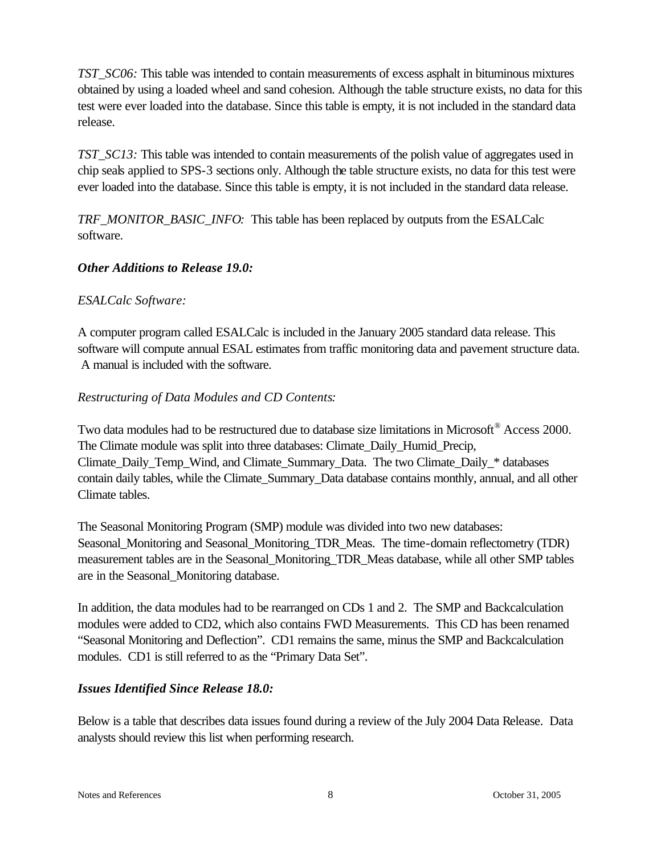*TST\_SC06:* This table was intended to contain measurements of excess asphalt in bituminous mixtures obtained by using a loaded wheel and sand cohesion. Although the table structure exists, no data for this test were ever loaded into the database. Since this table is empty, it is not included in the standard data release.

*TST\_SC13:* This table was intended to contain measurements of the polish value of aggregates used in chip seals applied to SPS-3 sections only. Although the table structure exists, no data for this test were ever loaded into the database. Since this table is empty, it is not included in the standard data release.

*TRF\_MONITOR\_BASIC\_INFO:* This table has been replaced by outputs from the ESALCalc software.

# *Other Additions to Release 19.0:*

# *ESALCalc Software:*

A computer program called ESALCalc is included in the January 2005 standard data release. This software will compute annual ESAL estimates from traffic monitoring data and pavement structure data. A manual is included with the software.

# *Restructuring of Data Modules and CD Contents:*

Two data modules had to be restructured due to database size limitations in Microsoft® Access 2000. The Climate module was split into three databases: Climate\_Daily\_Humid\_Precip, Climate\_Daily\_Temp\_Wind, and Climate\_Summary\_Data. The two Climate\_Daily\_\* databases contain daily tables, while the Climate\_Summary\_Data database contains monthly, annual, and all other Climate tables.

The Seasonal Monitoring Program (SMP) module was divided into two new databases: Seasonal\_Monitoring and Seasonal\_Monitoring\_TDR\_Meas. The time-domain reflectometry (TDR) measurement tables are in the Seasonal\_Monitoring\_TDR\_Meas database, while all other SMP tables are in the Seasonal\_Monitoring database.

In addition, the data modules had to be rearranged on CDs 1 and 2. The SMP and Backcalculation modules were added to CD2, which also contains FWD Measurements. This CD has been renamed "Seasonal Monitoring and Deflection". CD1 remains the same, minus the SMP and Backcalculation modules. CD1 is still referred to as the "Primary Data Set".

#### *Issues Identified Since Release 18.0:*

Below is a table that describes data issues found during a review of the July 2004 Data Release. Data analysts should review this list when performing research.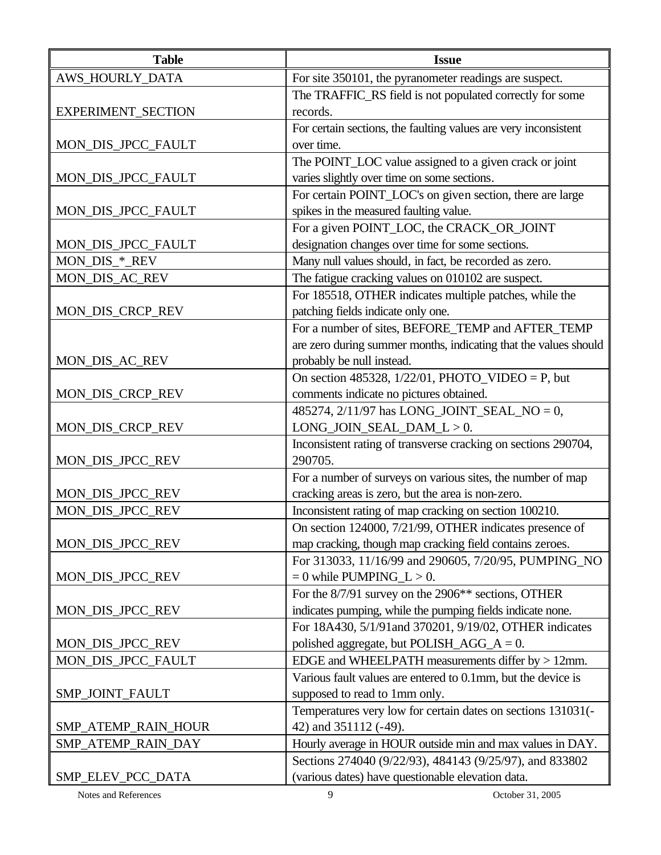| <b>Table</b>         | <b>Issue</b>                                                     |
|----------------------|------------------------------------------------------------------|
| AWS_HOURLY_DATA      | For site 350101, the pyranometer readings are suspect.           |
|                      | The TRAFFIC_RS field is not populated correctly for some         |
| EXPERIMENT_SECTION   | records.                                                         |
|                      | For certain sections, the faulting values are very inconsistent  |
| MON_DIS_JPCC_FAULT   | over time.                                                       |
|                      | The POINT_LOC value assigned to a given crack or joint           |
| MON_DIS_JPCC_FAULT   | varies slightly over time on some sections.                      |
|                      | For certain POINT_LOC's on given section, there are large        |
| MON_DIS_JPCC_FAULT   | spikes in the measured faulting value.                           |
|                      | For a given POINT_LOC, the CRACK_OR_JOINT                        |
| MON_DIS_JPCC_FAULT   | designation changes over time for some sections.                 |
| MON_DIS_*_REV        | Many null values should, in fact, be recorded as zero.           |
| MON_DIS_AC_REV       | The fatigue cracking values on 010102 are suspect.               |
|                      | For 185518, OTHER indicates multiple patches, while the          |
| MON_DIS_CRCP_REV     | patching fields indicate only one.                               |
|                      | For a number of sites, BEFORE_TEMP and AFTER_TEMP                |
|                      | are zero during summer months, indicating that the values should |
| MON_DIS_AC_REV       | probably be null instead.                                        |
|                      | On section 485328, $1/22/01$ , PHOTO_VIDEO = P, but              |
| MON_DIS_CRCP_REV     | comments indicate no pictures obtained.                          |
|                      | 485274, 2/11/97 has LONG_JOINT_SEAL_NO = 0,                      |
| MON_DIS_CRCP_REV     | $LONG_JOIN_SEAL_DAM_L > 0.$                                      |
|                      | Inconsistent rating of transverse cracking on sections 290704,   |
| MON_DIS_JPCC_REV     | 290705.                                                          |
|                      | For a number of surveys on various sites, the number of map      |
| MON_DIS_JPCC_REV     | cracking areas is zero, but the area is non-zero.                |
| MON_DIS_JPCC_REV     | Inconsistent rating of map cracking on section 100210.           |
|                      | On section 124000, 7/21/99, OTHER indicates presence of          |
| MON_DIS_JPCC_REV     | map cracking, though map cracking field contains zeroes.         |
|                      | For 313033, 11/16/99 and 290605, 7/20/95, PUMPING_NO             |
| MON_DIS_JPCC_REV     | $= 0$ while PUMPING_L $> 0$ .                                    |
|                      | For the 8/7/91 survey on the 2906 <sup>**</sup> sections, OTHER  |
| MON_DIS_JPCC_REV     | indicates pumping, while the pumping fields indicate none.       |
|                      | For 18A430, 5/1/91and 370201, 9/19/02, OTHER indicates           |
| MON_DIS_JPCC_REV     | polished aggregate, but POLISH_AGG_ $A = 0$ .                    |
| MON_DIS_JPCC_FAULT   | EDGE and WHEELPATH measurements differ by $> 12$ mm.             |
|                      | Various fault values are entered to 0.1mm, but the device is     |
| SMP_JOINT_FAULT      | supposed to read to 1mm only.                                    |
|                      | Temperatures very low for certain dates on sections 131031(-     |
| SMP_ATEMP_RAIN_HOUR  | 42) and 351112 (-49).                                            |
| SMP_ATEMP_RAIN_DAY   | Hourly average in HOUR outside min and max values in DAY.        |
|                      | Sections 274040 (9/22/93), 484143 (9/25/97), and 833802          |
| SMP_ELEV_PCC_DATA    | (various dates) have questionable elevation data.                |
| Notes and References | 9<br>October 31, 2005                                            |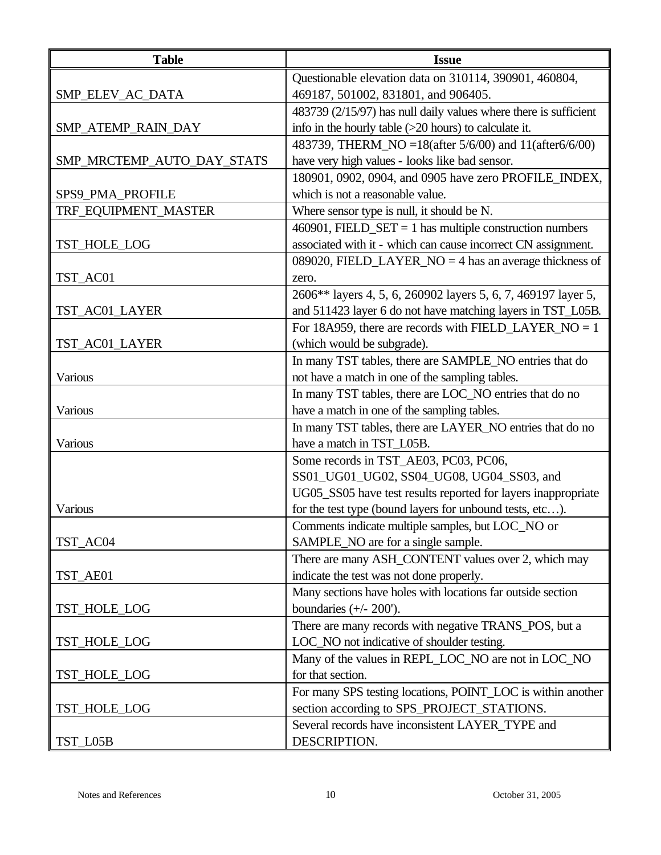| <b>Table</b>               | <b>Issue</b>                                                     |
|----------------------------|------------------------------------------------------------------|
|                            | Questionable elevation data on 310114, 390901, 460804,           |
| SMP_ELEV_AC_DATA           | 469187, 501002, 831801, and 906405.                              |
|                            | 483739 (2/15/97) has null daily values where there is sufficient |
| SMP_ATEMP_RAIN_DAY         | info in the hourly table (>20 hours) to calculate it.            |
|                            | 483739, THERM_NO = 18(after 5/6/00) and 11(after 6/6/00)         |
| SMP_MRCTEMP_AUTO_DAY_STATS | have very high values - looks like bad sensor.                   |
|                            | 180901, 0902, 0904, and 0905 have zero PROFILE INDEX,            |
| SPS9_PMA_PROFILE           | which is not a reasonable value.                                 |
| TRF_EQUIPMENT_MASTER       | Where sensor type is null, it should be N.                       |
|                            | $460901$ , FIELD_SET = 1 has multiple construction numbers       |
| TST_HOLE_LOG               | associated with it - which can cause incorrect CN assignment.    |
|                            | 089020, FIELD_LAYER_NO = 4 has an average thickness of           |
| TST_AC01                   | zero.                                                            |
|                            | 2606** layers 4, 5, 6, 260902 layers 5, 6, 7, 469197 layer 5,    |
| TST_AC01_LAYER             | and 511423 layer 6 do not have matching layers in TST_L05B.      |
|                            | For 18A959, there are records with FIELD_LAYER_NO = 1            |
| TST_AC01_LAYER             | (which would be subgrade).                                       |
|                            | In many TST tables, there are SAMPLE_NO entries that do          |
| Various                    | not have a match in one of the sampling tables.                  |
|                            | In many TST tables, there are LOC_NO entries that do no          |
| Various                    | have a match in one of the sampling tables.                      |
|                            | In many TST tables, there are LAYER_NO entries that do no        |
| Various                    | have a match in TST_L05B.                                        |
|                            | Some records in TST_AE03, PC03, PC06,                            |
|                            | SS01_UG01_UG02, SS04_UG08, UG04_SS03, and                        |
|                            | UG05_SS05 have test results reported for layers inappropriate    |
| Various                    | for the test type (bound layers for unbound tests, etc).         |
|                            | Comments indicate multiple samples, but LOC_NO or                |
| TST AC04                   | SAMPLE_NO are for a single sample.                               |
|                            | There are many ASH_CONTENT values over 2, which may              |
| TST_AE01                   | indicate the test was not done properly.                         |
|                            | Many sections have holes with locations far outside section      |
| TST_HOLE_LOG               | boundaries $(+/- 200')$ .                                        |
|                            | There are many records with negative TRANS_POS, but a            |
| TST_HOLE_LOG               | LOC_NO not indicative of shoulder testing.                       |
|                            | Many of the values in REPL_LOC_NO are not in LOC_NO              |
| TST_HOLE_LOG               | for that section.                                                |
|                            | For many SPS testing locations, POINT_LOC is within another      |
| TST_HOLE_LOG               | section according to SPS_PROJECT_STATIONS.                       |
|                            | Several records have inconsistent LAYER_TYPE and                 |
| TST_L05B                   | DESCRIPTION.                                                     |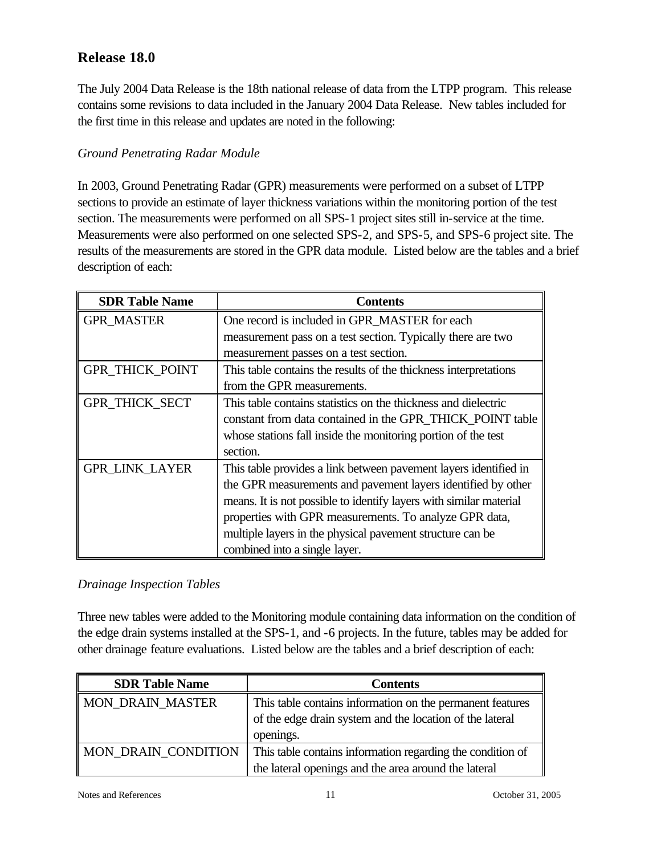# **Release 18.0**

The July 2004 Data Release is the 18th national release of data from the LTPP program. This release contains some revisions to data included in the January 2004 Data Release. New tables included for the first time in this release and updates are noted in the following:

#### *Ground Penetrating Radar Module*

In 2003, Ground Penetrating Radar (GPR) measurements were performed on a subset of LTPP sections to provide an estimate of layer thickness variations within the monitoring portion of the test section. The measurements were performed on all SPS-1 project sites still in-service at the time. Measurements were also performed on one selected SPS-2, and SPS-5, and SPS-6 project site. The results of the measurements are stored in the GPR data module. Listed below are the tables and a brief description of each:

| <b>SDR Table Name</b>  | <b>Contents</b>                                                    |
|------------------------|--------------------------------------------------------------------|
| <b>GPR_MASTER</b>      | One record is included in GPR_MASTER for each                      |
|                        | measurement pass on a test section. Typically there are two        |
|                        | measurement passes on a test section.                              |
| <b>GPR_THICK_POINT</b> | This table contains the results of the thickness interpretations   |
|                        | from the GPR measurements.                                         |
| GPR_THICK_SECT         | This table contains statistics on the thickness and dielectric     |
|                        | constant from data contained in the GPR_THICK_POINT table          |
|                        | whose stations fall inside the monitoring portion of the test      |
|                        | section.                                                           |
| <b>GPR_LINK_LAYER</b>  | This table provides a link between pavement layers identified in   |
|                        | the GPR measurements and pavement layers identified by other       |
|                        | means. It is not possible to identify layers with similar material |
|                        | properties with GPR measurements. To analyze GPR data,             |
|                        | multiple layers in the physical pavement structure can be          |
|                        | combined into a single layer.                                      |

#### *Drainage Inspection Tables*

Three new tables were added to the Monitoring module containing data information on the condition of the edge drain systems installed at the SPS-1, and -6 projects. In the future, tables may be added for other drainage feature evaluations. Listed below are the tables and a brief description of each:

| <b>SDR Table Name</b>      | <b>Contents</b>                                            |
|----------------------------|------------------------------------------------------------|
| MON DRAIN MASTER           | This table contains information on the permanent features  |
|                            | of the edge drain system and the location of the lateral   |
|                            | openings.                                                  |
| <b>MON DRAIN CONDITION</b> | This table contains information regarding the condition of |
|                            | the lateral openings and the area around the lateral       |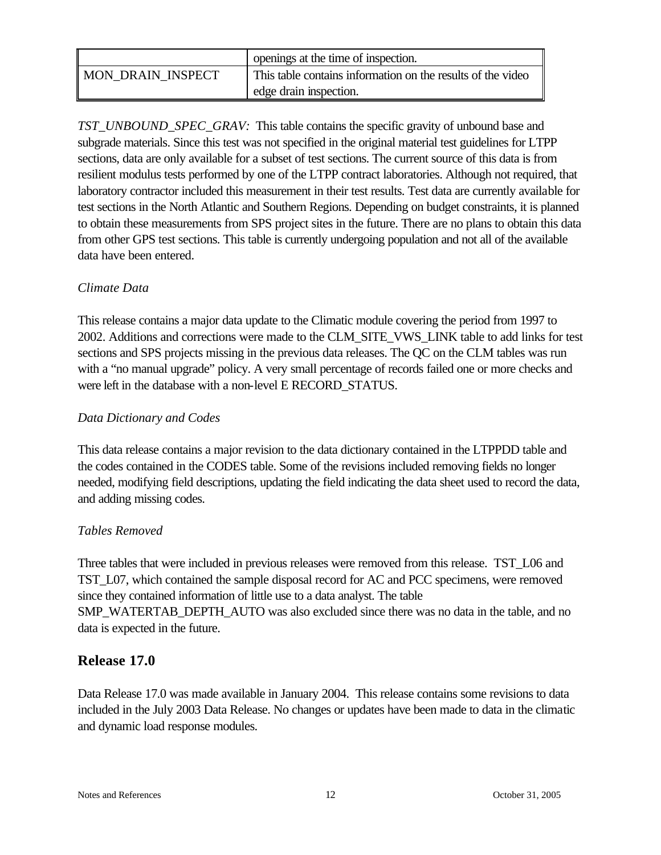|                          | openings at the time of inspection.                         |
|--------------------------|-------------------------------------------------------------|
| <b>MON DRAIN INSPECT</b> | This table contains information on the results of the video |
|                          | edge drain inspection.                                      |

*TST\_UNBOUND\_SPEC\_GRAV:* This table contains the specific gravity of unbound base and subgrade materials. Since this test was not specified in the original material test guidelines for LTPP sections, data are only available for a subset of test sections. The current source of this data is from resilient modulus tests performed by one of the LTPP contract laboratories. Although not required, that laboratory contractor included this measurement in their test results. Test data are currently available for test sections in the North Atlantic and Southern Regions. Depending on budget constraints, it is planned to obtain these measurements from SPS project sites in the future. There are no plans to obtain this data from other GPS test sections. This table is currently undergoing population and not all of the available data have been entered.

#### *Climate Data*

This release contains a major data update to the Climatic module covering the period from 1997 to 2002. Additions and corrections were made to the CLM\_SITE\_VWS\_LINK table to add links for test sections and SPS projects missing in the previous data releases. The QC on the CLM tables was run with a "no manual upgrade" policy. A very small percentage of records failed one or more checks and were left in the database with a non-level E RECORD\_STATUS.

#### *Data Dictionary and Codes*

This data release contains a major revision to the data dictionary contained in the LTPPDD table and the codes contained in the CODES table. Some of the revisions included removing fields no longer needed, modifying field descriptions, updating the field indicating the data sheet used to record the data, and adding missing codes.

#### *Tables Removed*

Three tables that were included in previous releases were removed from this release. TST\_L06 and TST\_L07, which contained the sample disposal record for AC and PCC specimens, were removed since they contained information of little use to a data analyst. The table SMP\_WATERTAB\_DEPTH\_AUTO was also excluded since there was no data in the table, and no data is expected in the future.

#### **Release 17.0**

Data Release 17.0 was made available in January 2004. This release contains some revisions to data included in the July 2003 Data Release. No changes or updates have been made to data in the climatic and dynamic load response modules.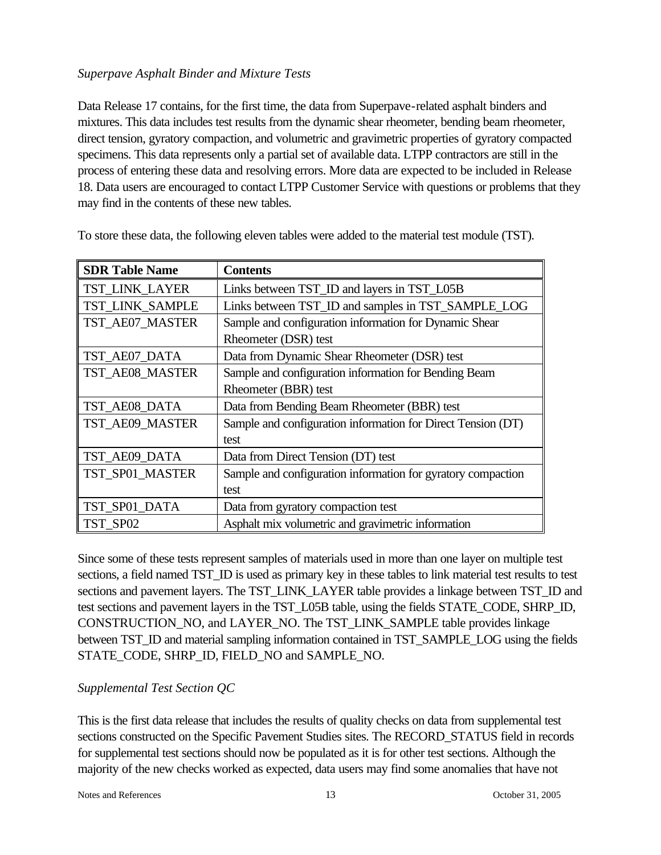#### *Superpave Asphalt Binder and Mixture Tests*

Data Release 17 contains, for the first time, the data from Superpave-related asphalt binders and mixtures. This data includes test results from the dynamic shear rheometer, bending beam rheometer, direct tension, gyratory compaction, and volumetric and gravimetric properties of gyratory compacted specimens. This data represents only a partial set of available data. LTPP contractors are still in the process of entering these data and resolving errors. More data are expected to be included in Release 18. Data users are encouraged to contact LTPP Customer Service with questions or problems that they may find in the contents of these new tables.

| <b>SDR Table Name</b> | <b>Contents</b>                                              |
|-----------------------|--------------------------------------------------------------|
| <b>TST_LINK_LAYER</b> | Links between TST_ID and layers in TST_L05B                  |
| TST LINK SAMPLE       | Links between TST_ID and samples in TST_SAMPLE_LOG           |
| TST_AE07_MASTER       | Sample and configuration information for Dynamic Shear       |
|                       | Rheometer (DSR) test                                         |
| TST_AE07_DATA         | Data from Dynamic Shear Rheometer (DSR) test                 |
| TST_AE08_MASTER       | Sample and configuration information for Bending Beam        |
|                       | Rheometer (BBR) test                                         |
| TST_AE08_DATA         | Data from Bending Beam Rheometer (BBR) test                  |
| TST_AE09_MASTER       | Sample and configuration information for Direct Tension (DT) |
|                       | test                                                         |
| TST_AE09_DATA         | Data from Direct Tension (DT) test                           |
| TST_SP01_MASTER       | Sample and configuration information for gyratory compaction |
|                       | test                                                         |
| TST SP01 DATA         | Data from gyratory compaction test                           |
| TST SP02              | Asphalt mix volumetric and gravimetric information           |

To store these data, the following eleven tables were added to the material test module (TST).

Since some of these tests represent samples of materials used in more than one layer on multiple test sections, a field named TST\_ID is used as primary key in these tables to link material test results to test sections and pavement layers. The TST\_LINK\_LAYER table provides a linkage between TST\_ID and test sections and pavement layers in the TST\_L05B table, using the fields STATE\_CODE, SHRP\_ID, CONSTRUCTION\_NO, and LAYER\_NO. The TST\_LINK\_SAMPLE table provides linkage between TST\_ID and material sampling information contained in TST\_SAMPLE\_LOG using the fields STATE\_CODE, SHRP\_ID, FIELD\_NO and SAMPLE\_NO.

#### *Supplemental Test Section QC*

This is the first data release that includes the results of quality checks on data from supplemental test sections constructed on the Specific Pavement Studies sites. The RECORD\_STATUS field in records for supplemental test sections should now be populated as it is for other test sections. Although the majority of the new checks worked as expected, data users may find some anomalies that have not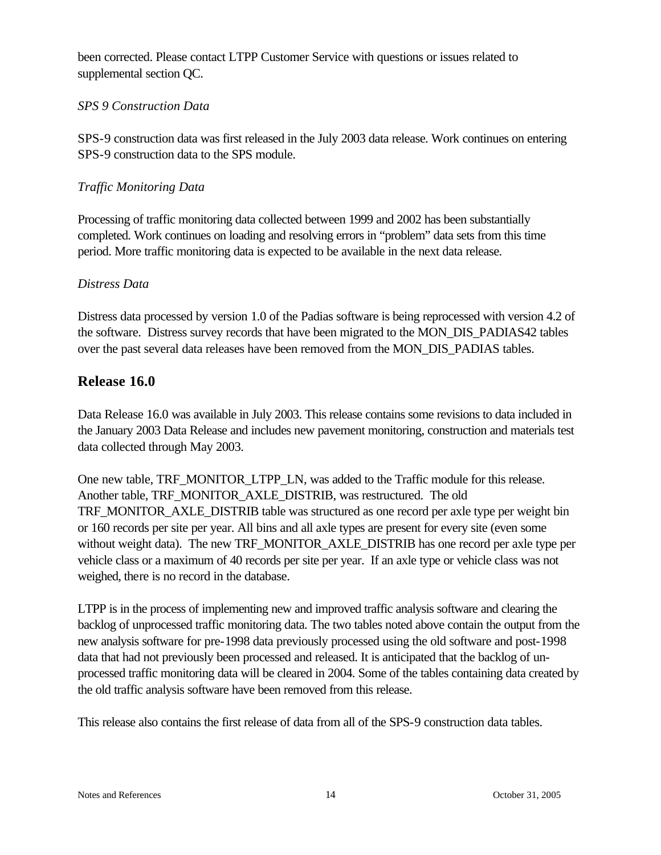been corrected. Please contact LTPP Customer Service with questions or issues related to supplemental section QC.

#### *SPS 9 Construction Data*

SPS-9 construction data was first released in the July 2003 data release. Work continues on entering SPS-9 construction data to the SPS module.

#### *Traffic Monitoring Data*

Processing of traffic monitoring data collected between 1999 and 2002 has been substantially completed. Work continues on loading and resolving errors in "problem" data sets from this time period. More traffic monitoring data is expected to be available in the next data release.

#### *Distress Data*

Distress data processed by version 1.0 of the Padias software is being reprocessed with version 4.2 of the software. Distress survey records that have been migrated to the MON\_DIS\_PADIAS42 tables over the past several data releases have been removed from the MON\_DIS\_PADIAS tables.

# **Release 16.0**

Data Release 16.0 was available in July 2003. This release contains some revisions to data included in the January 2003 Data Release and includes new pavement monitoring, construction and materials test data collected through May 2003.

One new table, TRF\_MONITOR\_LTPP\_LN, was added to the Traffic module for this release. Another table, TRF\_MONITOR\_AXLE\_DISTRIB, was restructured. The old TRF\_MONITOR\_AXLE\_DISTRIB table was structured as one record per axle type per weight bin or 160 records per site per year. All bins and all axle types are present for every site (even some without weight data). The new TRF\_MONITOR\_AXLE\_DISTRIB has one record per axle type per vehicle class or a maximum of 40 records per site per year. If an axle type or vehicle class was not weighed, there is no record in the database.

LTPP is in the process of implementing new and improved traffic analysis software and clearing the backlog of unprocessed traffic monitoring data. The two tables noted above contain the output from the new analysis software for pre-1998 data previously processed using the old software and post-1998 data that had not previously been processed and released. It is anticipated that the backlog of unprocessed traffic monitoring data will be cleared in 2004. Some of the tables containing data created by the old traffic analysis software have been removed from this release.

This release also contains the first release of data from all of the SPS-9 construction data tables.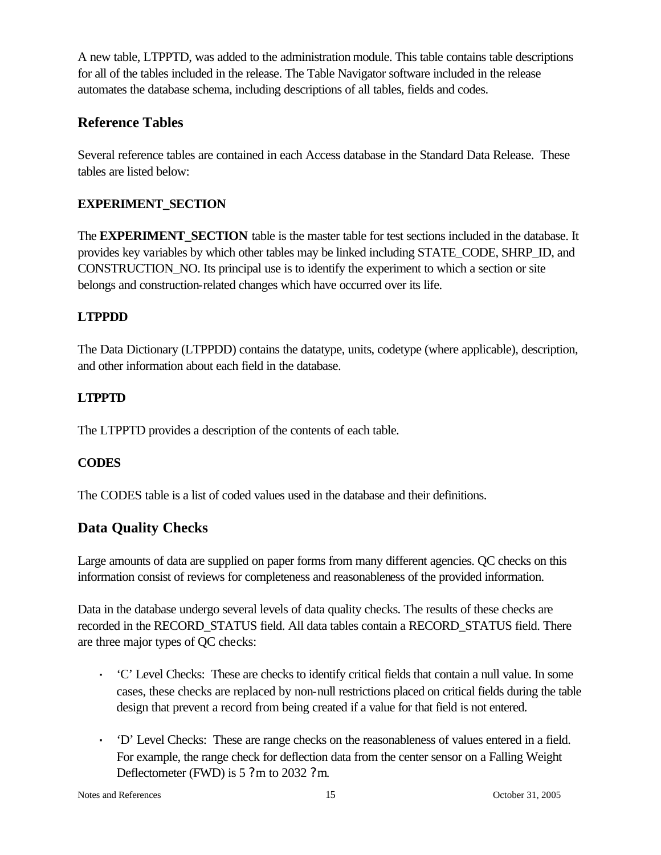A new table, LTPPTD, was added to the administration module. This table contains table descriptions for all of the tables included in the release. The Table Navigator software included in the release automates the database schema, including descriptions of all tables, fields and codes.

# **Reference Tables**

Several reference tables are contained in each Access database in the Standard Data Release. These tables are listed below:

# **EXPERIMENT\_SECTION**

The **EXPERIMENT** SECTION table is the master table for test sections included in the database. It provides key variables by which other tables may be linked including STATE\_CODE, SHRP\_ID, and CONSTRUCTION\_NO. Its principal use is to identify the experiment to which a section or site belongs and construction-related changes which have occurred over its life.

# **LTPPDD**

The Data Dictionary (LTPPDD) contains the datatype, units, codetype (where applicable), description, and other information about each field in the database.

# **LTPPTD**

The LTPPTD provides a description of the contents of each table.

# **CODES**

The CODES table is a list of coded values used in the database and their definitions.

# **Data Quality Checks**

Large amounts of data are supplied on paper forms from many different agencies. QC checks on this information consist of reviews for completeness and reasonableness of the provided information.

Data in the database undergo several levels of data quality checks. The results of these checks are recorded in the RECORD\_STATUS field. All data tables contain a RECORD\_STATUS field. There are three major types of QC checks:

- **·** 'C' Level Checks: These are checks to identify critical fields that contain a null value. In some cases, these checks are replaced by non-null restrictions placed on critical fields during the table design that prevent a record from being created if a value for that field is not entered.
- **·** 'D' Level Checks: These are range checks on the reasonableness of values entered in a field. For example, the range check for deflection data from the center sensor on a Falling Weight Deflectometer (FWD) is 5 ?m to 2032 ?m.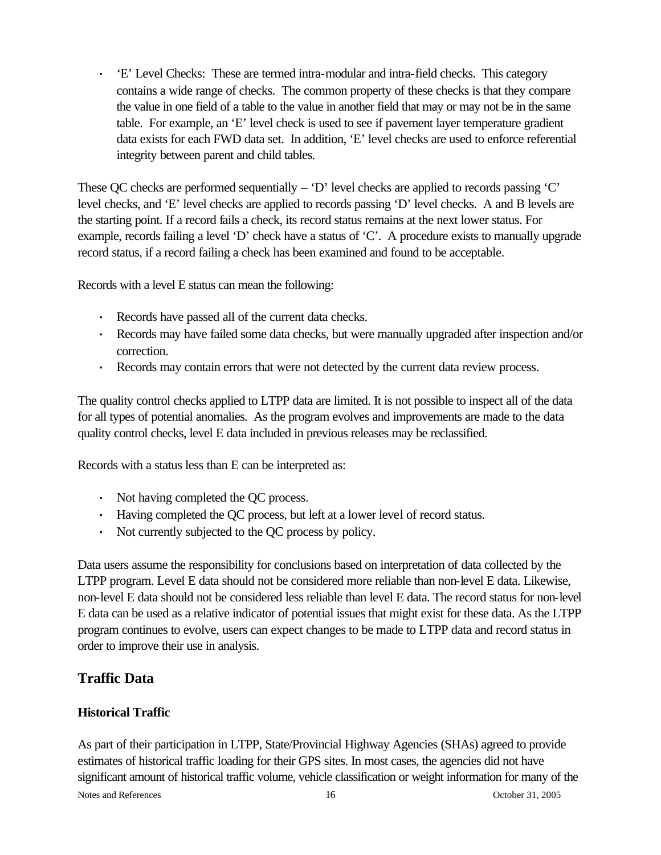**·** 'E' Level Checks: These are termed intra-modular and intra-field checks. This category contains a wide range of checks. The common property of these checks is that they compare the value in one field of a table to the value in another field that may or may not be in the same table. For example, an 'E' level check is used to see if pavement layer temperature gradient data exists for each FWD data set. In addition, 'E' level checks are used to enforce referential integrity between parent and child tables.

These QC checks are performed sequentially – 'D' level checks are applied to records passing 'C' level checks, and 'E' level checks are applied to records passing 'D' level checks. A and B levels are the starting point. If a record fails a check, its record status remains at the next lower status. For example, records failing a level 'D' check have a status of 'C'. A procedure exists to manually upgrade record status, if a record failing a check has been examined and found to be acceptable.

Records with a level E status can mean the following:

- **·** Records have passed all of the current data checks.
- **·** Records may have failed some data checks, but were manually upgraded after inspection and/or correction.
- **·** Records may contain errors that were not detected by the current data review process.

The quality control checks applied to LTPP data are limited. It is not possible to inspect all of the data for all types of potential anomalies. As the program evolves and improvements are made to the data quality control checks, level E data included in previous releases may be reclassified.

Records with a status less than E can be interpreted as:

- **·** Not having completed the QC process.
- **·** Having completed the QC process, but left at a lower level of record status.
- **·** Not currently subjected to the QC process by policy.

Data users assume the responsibility for conclusions based on interpretation of data collected by the LTPP program. Level E data should not be considered more reliable than non-level E data. Likewise, non-level E data should not be considered less reliable than level E data. The record status for non-level E data can be used as a relative indicator of potential issues that might exist for these data. As the LTPP program continues to evolve, users can expect changes to be made to LTPP data and record status in order to improve their use in analysis.

# **Traffic Data**

#### **Historical Traffic**

As part of their participation in LTPP, State/Provincial Highway Agencies (SHAs) agreed to provide estimates of historical traffic loading for their GPS sites. In most cases, the agencies did not have significant amount of historical traffic volume, vehicle classification or weight information for many of the

Notes and References and References 21. 2005